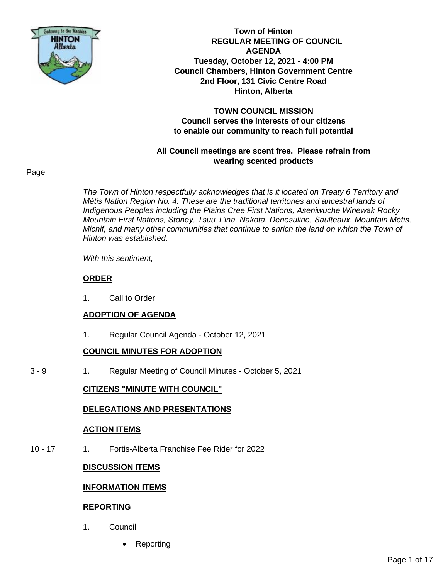

**Town of Hinton REGULAR MEETING OF COUNCIL AGENDA Tuesday, October 12, 2021 - 4:00 PM Council Chambers, Hinton Government Centre 2nd Floor, 131 Civic Centre Road Hinton, Alberta**

**TOWN COUNCIL MISSION Council serves the interests of our citizens to enable our community to reach full potential**

**All Council meetings are scent free. Please refrain from wearing scented products**

## Page

*The Town of Hinton respectfully acknowledges that is it located on Treaty 6 Territory and Métis Nation Region No. 4. These are the traditional territories and ancestral lands of Indigenous Peoples including the Plains Cree First Nations, Aseniwuche Winewak Rocky Mountain First Nations, Stoney, Tsuu T'ina, Nakota, Denesuline, Saulteaux, Mountain Métis, Michif, and many other communities that continue to enrich the land on which the Town of Hinton was established.* 

*With this sentiment,* 

#### **ORDER**

1. Call to Order

#### **ADOPTION OF AGENDA**

1. Regular Council Agenda - October 12, 2021

## **COUNCIL MINUTES FOR ADOPTION**

3 - 9 1. Regular Meeting of Council Minutes - October 5, 2021

## **CITIZENS "MINUTE WITH COUNCIL"**

## **DELEGATIONS AND PRESENTATIONS**

#### **ACTION ITEMS**

10 - 17 1. Fortis-Alberta Franchise Fee Rider for 2022

## **DISCUSSION ITEMS**

## **INFORMATION ITEMS**

#### **REPORTING**

- 1. Council
	- **Reporting**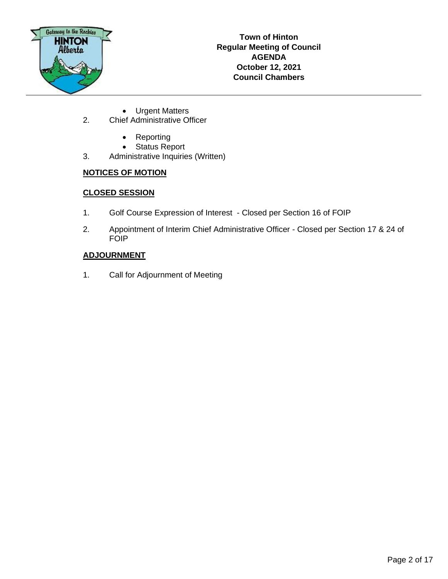

- Urgent Matters
- 2. Chief Administrative Officer
	- Reporting
	- Status Report
- 3. Administrative Inquiries (Written)

# **NOTICES OF MOTION**

# **CLOSED SESSION**

- 1. Golf Course Expression of Interest Closed per Section 16 of FOIP
- 2. Appointment of Interim Chief Administrative Officer Closed per Section 17 & 24 of FOIP

# **ADJOURNMENT**

1. Call for Adjournment of Meeting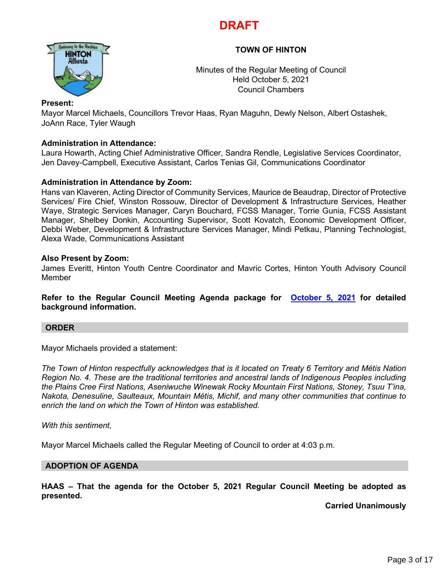# **DRAFT**

# **TOWN OF HINTON**



Minutes of the Regular Meeting of Council Held October 5, 2021 Council Chambers

## **Present:**

Mayor Marcel Michaels, Councillors Trevor Haas, Ryan Maguhn, Dewly Nelson, Albert Ostashek, JoAnn Race, Tyler Waugh

## **Administration in Attendance:**

Laura Howarth, Acting Chief Administrative Officer, Sandra Rendle, Legislative Services Coordinator, Jen Davey-Campbell, Executive Assistant, Carlos Tenias Gil, Communications Coordinator

# **Administration in Attendance by Zoom:**

Hans van Klaveren, Acting Director of Community Services, Maurice de Beaudrap, Director of Protective Services/ Fire Chief, Winston Rossouw, Director of Development & Infrastructure Services, Heather Waye, Strategic Services Manager, Caryn Bouchard, FCSS Manager, Torrie Gunia, FCSS Assistant Manager, Shelbey Donkin, Accounting Supervisor, Scott Kovatch, Economic Development Officer, Debbi Weber, Development & Infrastructure Services Manager, Mindi Petkau, Planning Technologist, Alexa Wade, Communications Assistant

## **Also Present by Zoom:**

James Everitt, Hinton Youth Centre Coordinator and Mavric Cortes, Hinton Youth Advisory Council Member

**Refer to the Regular Council Meeting Agenda package for [October 5, 2021](https://www.hinton.ca/ArchiveCenter/ViewFile/Item/4297) for detailed background information.**

## **ORDER**

Mayor Michaels provided a statement:

*The Town of Hinton respectfully acknowledges that is it located on Treaty 6 Territory and Métis Nation Region No. 4. These are the traditional territories and ancestral lands of Indigenous Peoples including the Plains Cree First Nations, Aseniwuche Winewak Rocky Mountain First Nations, Stoney, Tsuu T'ina, Nakota, Denesuline, Saulteaux, Mountain Métis, Michif, and many other communities that continue to enrich the land on which the Town of Hinton was established.* 

*With this sentiment,*

Mayor Marcel Michaels called the Regular Meeting of Council to order at 4:03 p.m.

## **ADOPTION OF AGENDA**

**HAAS – That the agenda for the October 5, 2021 Regular Council Meeting be adopted as presented.**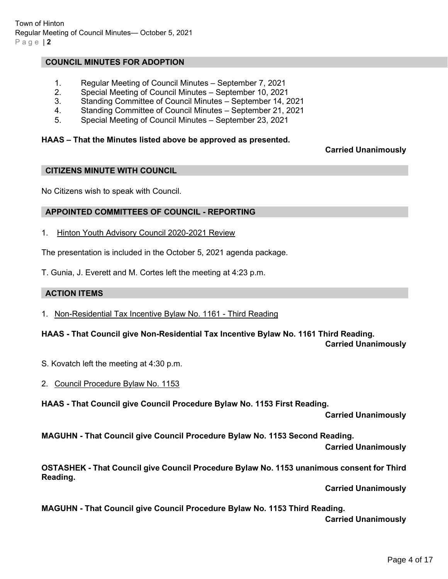## **COUNCIL MINUTES FOR ADOPTION**

- 1. Regular Meeting of Council Minutes September 7, 2021
- 2. Special Meeting of Council Minutes September 10, 2021
- 3. Standing Committee of Council Minutes September 14, 2021
- 4. Standing Committee of Council Minutes September 21, 2021
- 5. Special Meeting of Council Minutes September 23, 2021

## **HAAS – That the Minutes listed above be approved as presented.**

## **Carried Unanimously**

## **CITIZENS MINUTE WITH COUNCIL**

No Citizens wish to speak with Council.

## **APPOINTED COMMITTEES OF COUNCIL - REPORTING**

1. Hinton Youth Advisory Council 2020-2021 Review

The presentation is included in the October 5, 2021 agenda package.

T. Gunia, J. Everett and M. Cortes left the meeting at 4:23 p.m.

## **ACTION ITEMS**

1. Non-Residential Tax Incentive Bylaw No. 1161 - Third Reading

**HAAS - That Council give Non-Residential Tax Incentive Bylaw No. 1161 Third Reading. Carried Unanimously**

- S. Kovatch left the meeting at 4:30 p.m.
- 2. Council Procedure Bylaw No. 1153

**HAAS - That Council give Council Procedure Bylaw No. 1153 First Reading.**

**Carried Unanimously** 

**MAGUHN - That Council give Council Procedure Bylaw No. 1153 Second Reading.**

**Carried Unanimously** 

**OSTASHEK - That Council give Council Procedure Bylaw No. 1153 unanimous consent for Third Reading.**

**Carried Unanimously** 

**MAGUHN - That Council give Council Procedure Bylaw No. 1153 Third Reading.**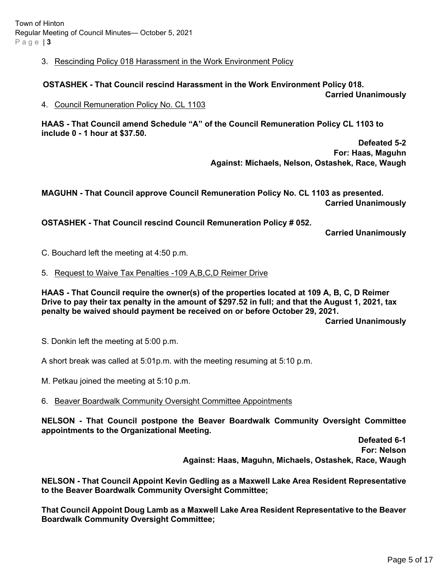## 3. Rescinding Policy 018 Harassment in the Work Environment Policy

# **OSTASHEK - That Council rescind Harassment in the Work Environment Policy 018.**

**Carried Unanimously**

4. Council Remuneration Policy No. CL 1103

**HAAS - That Council amend Schedule "A" of the Council Remuneration Policy CL 1103 to include 0 - 1 hour at \$37.50.** 

> **Defeated 5-2 For: Haas, Maguhn Against: Michaels, Nelson, Ostashek, Race, Waugh**

**MAGUHN - That Council approve Council Remuneration Policy No. CL 1103 as presented. Carried Unanimously**

**OSTASHEK - That Council rescind Council Remuneration Policy # 052.**

**Carried Unanimously**

C. Bouchard left the meeting at 4:50 p.m.

5. Request to Waive Tax Penalties -109 A,B,C,D Reimer Drive

**HAAS - That Council require the owner(s) of the properties located at 109 A, B, C, D Reimer Drive to pay their tax penalty in the amount of \$297.52 in full; and that the August 1, 2021, tax penalty be waived should payment be received on or before October 29, 2021. Carried Unanimously**

S. Donkin left the meeting at 5:00 p.m.

A short break was called at 5:01p.m. with the meeting resuming at 5:10 p.m.

M. Petkau joined the meeting at 5:10 p.m.

6. Beaver Boardwalk Community Oversight Committee Appointments

**NELSON - That Council postpone the Beaver Boardwalk Community Oversight Committee appointments to the Organizational Meeting.** 

> **Defeated 6-1 For: Nelson Against: Haas, Maguhn, Michaels, Ostashek, Race, Waugh**

**NELSON - That Council Appoint Kevin Gedling as a Maxwell Lake Area Resident Representative to the Beaver Boardwalk Community Oversight Committee;**

**That Council Appoint Doug Lamb as a Maxwell Lake Area Resident Representative to the Beaver Boardwalk Community Oversight Committee;**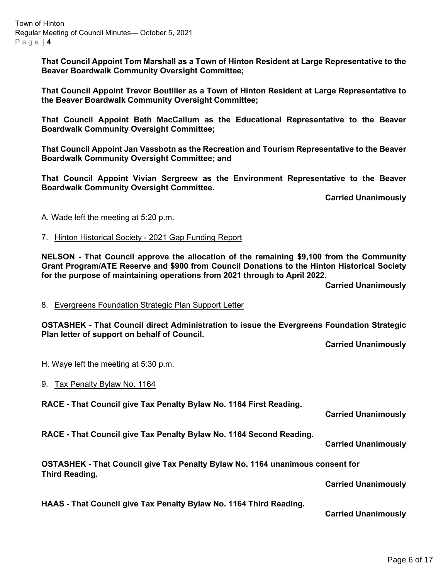Town of Hinton Regular Meeting of Council Minutes— October 5, 2021 Page | **4**

> **That Council Appoint Tom Marshall as a Town of Hinton Resident at Large Representative to the Beaver Boardwalk Community Oversight Committee;**

> **That Council Appoint Trevor Boutilier as a Town of Hinton Resident at Large Representative to the Beaver Boardwalk Community Oversight Committee;**

> **That Council Appoint Beth MacCallum as the Educational Representative to the Beaver Boardwalk Community Oversight Committee;**

> **That Council Appoint Jan Vassbotn as the Recreation and Tourism Representative to the Beaver Boardwalk Community Oversight Committee; and**

> **That Council Appoint Vivian Sergreew as the Environment Representative to the Beaver Boardwalk Community Oversight Committee.**

> > **Carried Unanimously**

A. Wade left the meeting at 5:20 p.m.

#### 7. Hinton Historical Society - 2021 Gap Funding Report

**NELSON - That Council approve the allocation of the remaining \$9,100 from the Community Grant Program/ATE Reserve and \$900 from Council Donations to the Hinton Historical Society for the purpose of maintaining operations from 2021 through to April 2022.**

**Carried Unanimously**

8. Evergreens Foundation Strategic Plan Support Letter

**OSTASHEK - That Council direct Administration to issue the Evergreens Foundation Strategic Plan letter of support on behalf of Council.**

**Carried Unanimously**

H. Waye left the meeting at 5:30 p.m.

9. Tax Penalty Bylaw No. 1164

**RACE - That Council give Tax Penalty Bylaw No. 1164 First Reading.**

**Carried Unanimously**

**RACE - That Council give Tax Penalty Bylaw No. 1164 Second Reading.**

**Carried Unanimously**

**OSTASHEK - That Council give Tax Penalty Bylaw No. 1164 unanimous consent for Third Reading.**

**Carried Unanimously**

**HAAS - That Council give Tax Penalty Bylaw No. 1164 Third Reading.**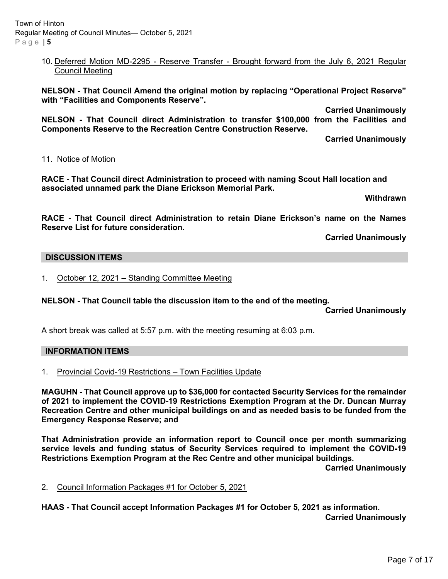## 10. Deferred Motion MD-2295 - Reserve Transfer - Brought forward from the July 6, 2021 Regular Council Meeting

**NELSON - That Council Amend the original motion by replacing "Operational Project Reserve" with "Facilities and Components Reserve".** 

**Carried Unanimously**

**NELSON - That Council direct Administration to transfer \$100,000 from the Facilities and Components Reserve to the Recreation Centre Construction Reserve.**

**Carried Unanimously**

## 11. Notice of Motion

**RACE - That Council direct Administration to proceed with naming Scout Hall location and associated unnamed park the Diane Erickson Memorial Park.** 

 **Withdrawn**

**RACE - That Council direct Administration to retain Diane Erickson's name on the Names Reserve List for future consideration.** 

**Carried Unanimously**

## **DISCUSSION ITEMS**

1. October 12, 2021 - Standing Committee Meeting

## **NELSON - That Council table the discussion item to the end of the meeting.**

**Carried Unanimously**

A short break was called at 5:57 p.m. with the meeting resuming at 6:03 p.m.

## **INFORMATION ITEMS**

1. Provincial Covid-19 Restrictions – Town Facilities Update

**MAGUHN - That Council approve up to \$36,000 for contacted Security Services for the remainder of 2021 to implement the COVID-19 Restrictions Exemption Program at the Dr. Duncan Murray Recreation Centre and other municipal buildings on and as needed basis to be funded from the Emergency Response Reserve; and**

**That Administration provide an information report to Council once per month summarizing service levels and funding status of Security Services required to implement the COVID-19 Restrictions Exemption Program at the Rec Centre and other municipal buildings.**

**Carried Unanimously**

2. Council Information Packages #1 for October 5, 2021

**HAAS - That Council accept Information Packages #1 for October 5, 2021 as information. Carried Unanimously**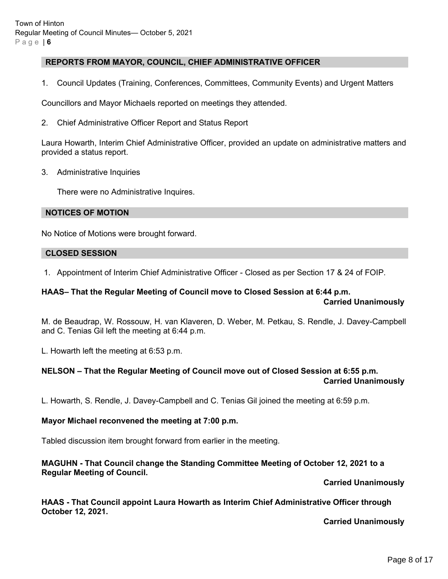## **REPORTS FROM MAYOR, COUNCIL, CHIEF ADMINISTRATIVE OFFICER**

1. Council Updates (Training, Conferences, Committees, Community Events) and Urgent Matters

Councillors and Mayor Michaels reported on meetings they attended.

2. Chief Administrative Officer Report and Status Report

Laura Howarth, Interim Chief Administrative Officer, provided an update on administrative matters and provided a status report.

3. Administrative Inquiries

There were no Administrative Inquires.

#### **NOTICES OF MOTION**

No Notice of Motions were brought forward.

#### **CLOSED SESSION**

1. Appointment of Interim Chief Administrative Officer - Closed as per Section 17 & 24 of FOIP.

## **HAAS– That the Regular Meeting of Council move to Closed Session at 6:44 p.m.**

#### **Carried Unanimously**

M. de Beaudrap, W. Rossouw, H. van Klaveren, D. Weber, M. Petkau, S. Rendle, J. Davey-Campbell and C. Tenias Gil left the meeting at 6:44 p.m.

L. Howarth left the meeting at 6:53 p.m.

#### **NELSON – That the Regular Meeting of Council move out of Closed Session at 6:55 p.m. Carried Unanimously**

L. Howarth, S. Rendle, J. Davey-Campbell and C. Tenias Gil joined the meeting at 6:59 p.m.

## **Mayor Michael reconvened the meeting at 7:00 p.m.**

Tabled discussion item brought forward from earlier in the meeting.

## **MAGUHN - That Council change the Standing Committee Meeting of October 12, 2021 to a Regular Meeting of Council.**

## **Carried Unanimously**

**HAAS - That Council appoint Laura Howarth as Interim Chief Administrative Officer through October 12, 2021.**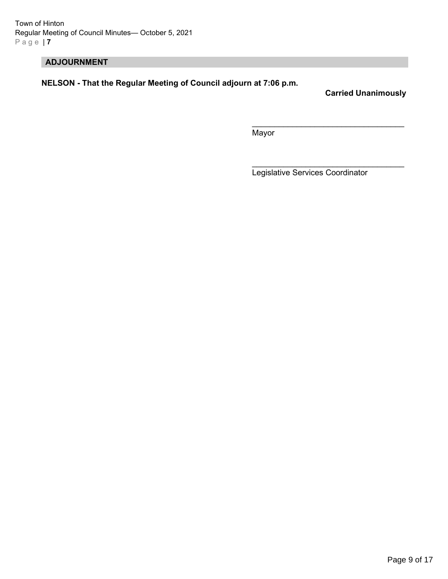Town of Hinton Regular Meeting of Council Minutes— October 5, 2021 Page | **7**

# **ADJOURNMENT**

**NELSON - That the Regular Meeting of Council adjourn at 7:06 p.m.**

**Carried Unanimously**

Mayor

Legislative Services Coordinator

 $\mathcal{L}_\text{max}$  , and the set of the set of the set of the set of the set of the set of the set of the set of the set of the set of the set of the set of the set of the set of the set of the set of the set of the set of the

 $\overline{\phantom{a}}$  , which is a set of the set of the set of the set of the set of the set of the set of the set of the set of the set of the set of the set of the set of the set of the set of the set of the set of the set of th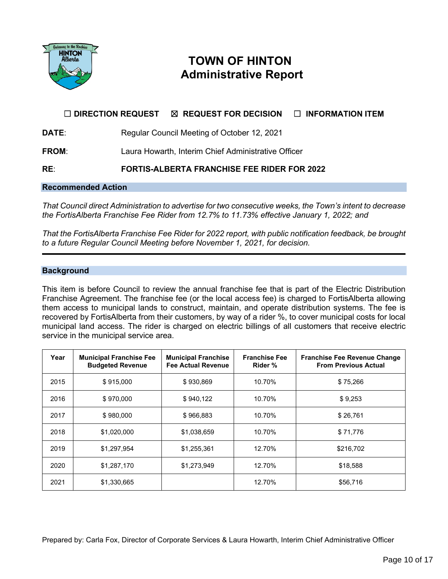

# **TOWN OF HINTON Administrative Report**

# ☐ **DIRECTION REQUEST** ☒ **REQUEST FOR DECISION** ☐ **INFORMATION ITEM**

**DATE:** Regular Council Meeting of October 12, 2021

**FROM**: Laura Howarth, Interim Chief Administrative Officer

**RE**: **FORTIS-ALBERTA FRANCHISE FEE RIDER FOR 2022**

# **Recommended Action**

*That Council direct Administration to advertise for two consecutive weeks, the Town's intent to decrease the FortisAlberta Franchise Fee Rider from 12.7% to 11.73% effective January 1, 2022; and*

*That the FortisAlberta Franchise Fee Rider for 2022 report, with public notification feedback, be brought to a future Regular Council Meeting before November 1, 2021, for decision.*

#### **Background**

This item is before Council to review the annual franchise fee that is part of the Electric Distribution Franchise Agreement. The franchise fee (or the local access fee) is charged to FortisAlberta allowing them access to municipal lands to construct, maintain, and operate distribution systems. The fee is recovered by FortisAlberta from their customers, by way of a rider %, to cover municipal costs for local municipal land access. The rider is charged on electric billings of all customers that receive electric service in the municipal service area.

| Year | <b>Municipal Franchise Fee</b><br><b>Budgeted Revenue</b> | <b>Municipal Franchise</b><br><b>Fee Actual Revenue</b> | <b>Franchise Fee</b><br>Rider % | <b>Franchise Fee Revenue Change</b><br><b>From Previous Actual</b> |
|------|-----------------------------------------------------------|---------------------------------------------------------|---------------------------------|--------------------------------------------------------------------|
| 2015 | \$915,000                                                 | \$930,869                                               | 10.70%                          | \$75,266                                                           |
| 2016 | \$970,000                                                 | \$940.122                                               | 10.70%                          | \$9,253                                                            |
| 2017 | \$980,000                                                 | \$966,883                                               | 10.70%                          | \$26,761                                                           |
| 2018 | \$1,020,000                                               | \$1,038,659                                             | 10.70%                          | \$71,776                                                           |
| 2019 | \$1,297,954                                               | \$1,255,361                                             | 12.70%                          | \$216,702                                                          |
| 2020 | \$1,287,170                                               | \$1,273,949                                             | 12.70%                          | \$18,588                                                           |
| 2021 | \$1,330,665                                               |                                                         | 12.70%                          | \$56,716                                                           |

Prepared by: Carla Fox, Director of Corporate Services & Laura Howarth, Interim Chief Administrative Officer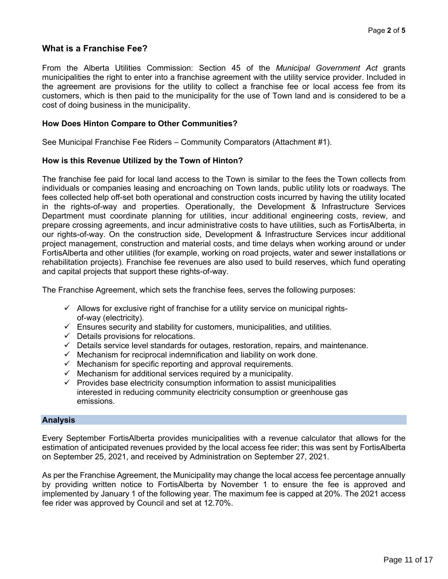# **What is a Franchise Fee?**

From the Alberta Utilities Commission: Section 45 of the *Municipal Government Act* grants municipalities the right to enter into a franchise agreement with the utility service provider. Included in the agreement are provisions for the utility to collect a franchise fee or local access fee from its customers, which is then paid to the municipality for the use of Town land and is considered to be a cost of doing business in the municipality.

## **How Does Hinton Compare to Other Communities?**

See Municipal Franchise Fee Riders – Community Comparators (Attachment #1).

## **How is this Revenue Utilized by the Town of Hinton?**

The franchise fee paid for local land access to the Town is similar to the fees the Town collects from individuals or companies leasing and encroaching on Town lands, public utility lots or roadways. The fees collected help off-set both operational and construction costs incurred by having the utility located in the rights-of-way and properties. Operationally, the Development & Infrastructure Services Department must coordinate planning for utilities, incur additional engineering costs, review, and prepare crossing agreements, and incur administrative costs to have utilities, such as FortisAlberta, in our rights-of-way. On the construction side, Development & Infrastructure Services incur additional project management, construction and material costs, and time delays when working around or under FortisAlberta and other utilities (for example, working on road projects, water and sewer installations or rehabilitation projects). Franchise fee revenues are also used to build reserves, which fund operating and capital projects that support these rights-of-way.

The Franchise Agreement, which sets the franchise fees, serves the following purposes:

- $\checkmark$  Allows for exclusive right of franchise for a utility service on municipal rightsof-way (electricity).
- $\checkmark$  Ensures security and stability for customers, municipalities, and utilities.
- $\checkmark$  Details provisions for relocations.
- $\checkmark$  Details service level standards for outages, restoration, repairs, and maintenance.
- $\checkmark$  Mechanism for reciprocal indemnification and liability on work done.
- $\checkmark$  Mechanism for specific reporting and approval requirements.
- Mechanism for additional services required by a municipality.
- $\checkmark$  Provides base electricity consumption information to assist municipalities interested in reducing community electricity consumption or greenhouse gas emissions.

## **Analysis**

Every September FortisAlberta provides municipalities with a revenue calculator that allows for the estimation of anticipated revenues provided by the local access fee rider; this was sent by FortisAlberta on September 25, 2021, and received by Administration on September 27, 2021.

As per the Franchise Agreement, the Municipality may change the local access fee percentage annually by providing written notice to FortisAlberta by November 1 to ensure the fee is approved and implemented by January 1 of the following year. The maximum fee is capped at 20%. The 2021 access fee rider was approved by Council and set at 12.70%.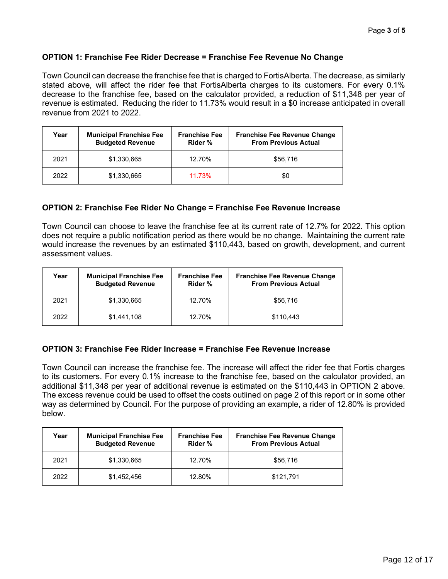# **OPTION 1: Franchise Fee Rider Decrease = Franchise Fee Revenue No Change**

Town Council can decrease the franchise fee that is charged to FortisAlberta. The decrease, as similarly stated above, will affect the rider fee that FortisAlberta charges to its customers. For every 0.1% decrease to the franchise fee, based on the calculator provided, a reduction of \$11,348 per year of revenue is estimated. Reducing the rider to 11.73% would result in a \$0 increase anticipated in overall revenue from 2021 to 2022.

| Year | <b>Municipal Franchise Fee</b><br><b>Budgeted Revenue</b> | <b>Franchise Fee</b><br>Rider % | <b>Franchise Fee Revenue Change</b><br><b>From Previous Actual</b> |
|------|-----------------------------------------------------------|---------------------------------|--------------------------------------------------------------------|
| 2021 | \$1,330,665                                               | 12.70%                          | \$56,716                                                           |
| 2022 | \$1,330,665                                               | 11.73%                          | \$0                                                                |

# **OPTION 2: Franchise Fee Rider No Change = Franchise Fee Revenue Increase**

Town Council can choose to leave the franchise fee at its current rate of 12.7% for 2022. This option does not require a public notification period as there would be no change. Maintaining the current rate would increase the revenues by an estimated \$110,443, based on growth, development, and current assessment values.

| Year | <b>Municipal Franchise Fee</b><br><b>Budgeted Revenue</b> | <b>Franchise Fee</b><br>Rider % | <b>Franchise Fee Revenue Change</b><br><b>From Previous Actual</b> |
|------|-----------------------------------------------------------|---------------------------------|--------------------------------------------------------------------|
| 2021 | \$1,330,665                                               | 12.70%                          | \$56,716                                                           |
| 2022 | \$1,441,108                                               | 12.70%                          | \$110.443                                                          |

## **OPTION 3: Franchise Fee Rider Increase = Franchise Fee Revenue Increase**

Town Council can increase the franchise fee. The increase will affect the rider fee that Fortis charges to its customers. For every 0.1% increase to the franchise fee, based on the calculator provided, an additional \$11,348 per year of additional revenue is estimated on the \$110,443 in OPTION 2 above. The excess revenue could be used to offset the costs outlined on page 2 of this report or in some other way as determined by Council. For the purpose of providing an example, a rider of 12.80% is provided below.

| Year | <b>Municipal Franchise Fee</b><br><b>Budgeted Revenue</b> | <b>Franchise Fee</b><br>Rider % | <b>Franchise Fee Revenue Change</b><br><b>From Previous Actual</b> |
|------|-----------------------------------------------------------|---------------------------------|--------------------------------------------------------------------|
| 2021 | \$1,330,665                                               | 12.70%                          | \$56,716                                                           |
| 2022 | \$1,452,456                                               | 12.80%                          | \$121,791                                                          |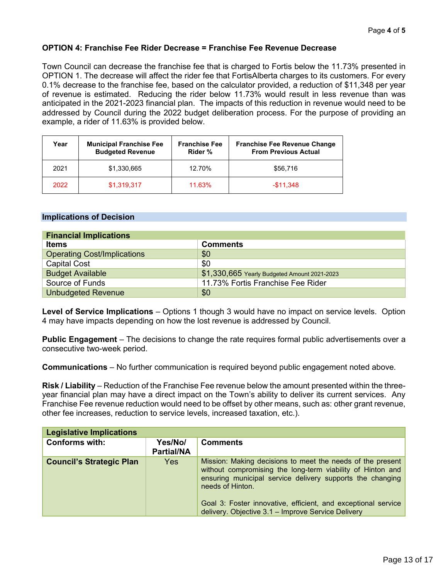## **OPTION 4: Franchise Fee Rider Decrease = Franchise Fee Revenue Decrease**

Town Council can decrease the franchise fee that is charged to Fortis below the 11.73% presented in OPTION 1. The decrease will affect the rider fee that FortisAlberta charges to its customers. For every 0.1% decrease to the franchise fee, based on the calculator provided, a reduction of \$11,348 per year of revenue is estimated. Reducing the rider below 11.73% would result in less revenue than was anticipated in the 2021-2023 financial plan. The impacts of this reduction in revenue would need to be addressed by Council during the 2022 budget deliberation process. For the purpose of providing an example, a rider of 11.63% is provided below.

| Year | <b>Municipal Franchise Fee</b><br><b>Budgeted Revenue</b> | <b>Franchise Fee</b><br>Rider % | <b>Franchise Fee Revenue Change</b><br><b>From Previous Actual</b> |
|------|-----------------------------------------------------------|---------------------------------|--------------------------------------------------------------------|
| 2021 | \$1,330,665                                               | 12.70%                          | \$56,716                                                           |
| 2022 | \$1,319,317                                               | 11.63%                          | $-$11.348$                                                         |

## **Implications of Decision**

| <b>Financial Implications</b>      |                                              |  |  |  |
|------------------------------------|----------------------------------------------|--|--|--|
| <b>Items</b>                       | <b>Comments</b>                              |  |  |  |
| <b>Operating Cost/Implications</b> | \$0                                          |  |  |  |
| <b>Capital Cost</b>                | \$0                                          |  |  |  |
| <b>Budget Available</b>            | \$1,330,665 Yearly Budgeted Amount 2021-2023 |  |  |  |
| Source of Funds                    | 11.73% Fortis Franchise Fee Rider            |  |  |  |
| <b>Unbudgeted Revenue</b>          | \$0                                          |  |  |  |

**Level of Service Implications** – Options 1 though 3 would have no impact on service levels. Option 4 may have impacts depending on how the lost revenue is addressed by Council.

**Public Engagement** – The decisions to change the rate requires formal public advertisements over a consecutive two-week period.

**Communications** – No further communication is required beyond public engagement noted above.

**Risk / Liability** – Reduction of the Franchise Fee revenue below the amount presented within the threeyear financial plan may have a direct impact on the Town's ability to deliver its current services. Any Franchise Fee revenue reduction would need to be offset by other means, such as: other grant revenue, other fee increases, reduction to service levels, increased taxation, etc.).

| <b>Legislative Implications</b> |                              |                                                                                                                                                                                                                                                                                                                                  |  |  |  |
|---------------------------------|------------------------------|----------------------------------------------------------------------------------------------------------------------------------------------------------------------------------------------------------------------------------------------------------------------------------------------------------------------------------|--|--|--|
| <b>Conforms with:</b>           | Yes/No/<br><b>Partial/NA</b> | <b>Comments</b>                                                                                                                                                                                                                                                                                                                  |  |  |  |
| <b>Council's Strategic Plan</b> | Yes                          | Mission: Making decisions to meet the needs of the present<br>without compromising the long-term viability of Hinton and<br>ensuring municipal service delivery supports the changing<br>needs of Hinton.<br>Goal 3: Foster innovative, efficient, and exceptional service<br>delivery. Objective 3.1 - Improve Service Delivery |  |  |  |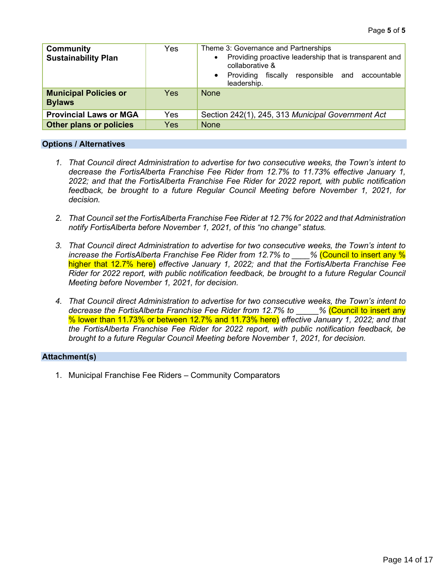| <b>Community</b><br><b>Sustainability Plan</b> | Yes        | Theme 3: Governance and Partnerships<br>Providing proactive leadership that is transparent and<br>$\bullet$<br>collaborative &<br>responsible and accountable<br>fiscallv<br>• Providing<br>leadership. |
|------------------------------------------------|------------|---------------------------------------------------------------------------------------------------------------------------------------------------------------------------------------------------------|
| <b>Municipal Policies or</b><br><b>Bylaws</b>  | <b>Yes</b> | <b>None</b>                                                                                                                                                                                             |
| <b>Provincial Laws or MGA</b>                  | Yes        | Section 242(1), 245, 313 Municipal Government Act                                                                                                                                                       |
| <b>Other plans or policies</b>                 | Yes        | <b>None</b>                                                                                                                                                                                             |

#### **Options / Alternatives**

- *1. That Council direct Administration to advertise for two consecutive weeks, the Town's intent to decrease the FortisAlberta Franchise Fee Rider from 12.7% to 11.73% effective January 1, 2022; and that the FortisAlberta Franchise Fee Rider for 2022 report, with public notification feedback, be brought to a future Regular Council Meeting before November 1, 2021, for decision.*
- *2. That Council set the FortisAlberta Franchise Fee Rider at 12.7% for 2022 and that Administration notify FortisAlberta before November 1, 2021, of this "no change" status.*
- *3. That Council direct Administration to advertise for two consecutive weeks, the Town's intent to increase the FortisAlberta Franchise Fee Rider from 12.7% to \_\_\_\_%* (Council to insert any % higher that 12.7% here) *effective January 1, 2022; and that the FortisAlberta Franchise Fee Rider for 2022 report, with public notification feedback, be brought to a future Regular Council Meeting before November 1, 2021, for decision.*
- *4. That Council direct Administration to advertise for two consecutive weeks, the Town's intent to decrease the FortisAlberta Franchise Fee Rider from 12.7% to \_\_\_\_\_%* (Council to insert any % lower than 11.73% or between 12.7% and 11.73% here) *effective January 1, 2022; and that the FortisAlberta Franchise Fee Rider for 2022 report, with public notification feedback, be brought to a future Regular Council Meeting before November 1, 2021, for decision.*

## **Attachment(s)**

1. Municipal Franchise Fee Riders – Community Comparators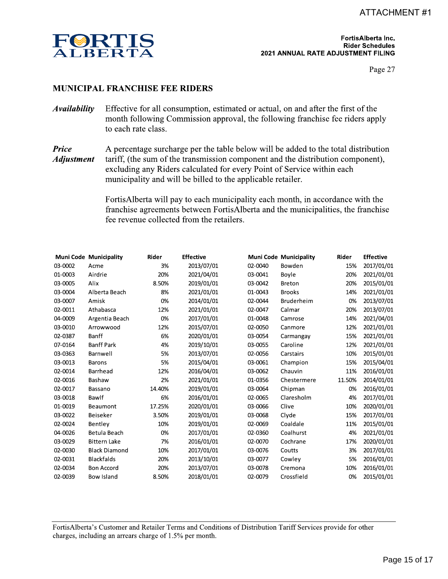

FortisAlberta Inc. **Rider Schedules** 2021 ANNUAL RATE ADJUSTMENT FILING

Page 27

## **MUNICIPAL FRANCHISE FEE RIDERS**

- **Availability** Effective for all consumption, estimated or actual, on and after the first of the month following Commission approval, the following franchise fee riders apply to each rate class.
- **Price** A percentage surcharge per the table below will be added to the total distribution **Adjustment** tariff, (the sum of the transmission component and the distribution component), excluding any Riders calculated for every Point of Service within each municipality and will be billed to the applicable retailer.

FortisAlberta will pay to each municipality each month, in accordance with the franchise agreements between FortisAlberta and the municipalities, the franchise fee revenue collected from the retailers.

|         | <b>Muni Code Municipality</b> | Rider  | <b>Effective</b> |         | <b>Muni Code Municipality</b> | Rider  | <b>Effective</b> |
|---------|-------------------------------|--------|------------------|---------|-------------------------------|--------|------------------|
| 03-0002 | Acme                          | 3%     | 2013/07/01       | 02-0040 | Bowden                        | 15%    | 2017/01/01       |
| 01-0003 | Airdrie                       | 20%    | 2021/04/01       | 03-0041 | Boyle                         | 20%    | 2021/01/01       |
| 03-0005 | Alix                          | 8.50%  | 2019/01/01       | 03-0042 | <b>Breton</b>                 | 20%    | 2015/01/01       |
| 03-0004 | Alberta Beach                 | 8%     | 2021/01/01       | 01-0043 | <b>Brooks</b>                 | 14%    | 2021/01/01       |
| 03-0007 | Amisk                         | 0%     | 2014/01/01       | 02-0044 | Bruderheim                    | 0%     | 2013/07/01       |
| 02-0011 | Athabasca                     | 12%    | 2021/01/01       | 02-0047 | Calmar                        | 20%    | 2013/07/01       |
| 04-0009 | Argentia Beach                | 0%     | 2017/01/01       | 01-0048 | Camrose                       | 14%    | 2021/04/01       |
| 03-0010 | Arrowwood                     | 12%    | 2015/07/01       | 02-0050 | Canmore                       | 12%    | 2021/01/01       |
| 02-0387 | Banff                         | 6%     | 2020/01/01       | 03-0054 | Carmangay                     | 15%    | 2021/01/01       |
| 07-0164 | <b>Banff Park</b>             | 4%     | 2019/10/01       | 03-0055 | Caroline                      | 12%    | 2021/01/01       |
| 03-0363 | Barnwell                      | 5%     | 2013/07/01       | 02-0056 | Carstairs                     | 10%    | 2015/01/01       |
| 03-0013 | <b>Barons</b>                 | 5%     | 2015/04/01       | 03-0061 | Champion                      | 15%    | 2015/04/01       |
| 02-0014 | <b>Barrhead</b>               | 12%    | 2016/04/01       | 03-0062 | Chauvin                       | 11%    | 2016/01/01       |
| 02-0016 | Bashaw                        | 2%     | 2021/01/01       | 01-0356 | Chestermere                   | 11.50% | 2014/01/01       |
| 02-0017 | Bassano                       | 14.40% | 2019/01/01       | 03-0064 | Chipman                       | 0%     | 2016/01/01       |
| 03-0018 | Bawlf                         | 6%     | 2016/01/01       | 02-0065 | Claresholm                    | 4%     | 2017/01/01       |
| 01-0019 | <b>Beaumont</b>               | 17.25% | 2020/01/01       | 03-0066 | Clive                         | 10%    | 2020/01/01       |
| 03-0022 | <b>Beiseker</b>               | 3.50%  | 2019/01/01       | 03-0068 | Clyde                         | 15%    | 2017/01/01       |
| 02-0024 | Bentley                       | 10%    | 2019/01/01       | 02-0069 | Coaldale                      | 11%    | 2015/01/01       |
| 04-0026 | Betula Beach                  | 0%     | 2017/01/01       | 02-0360 | Coalhurst                     | 4%     | 2021/01/01       |
| 03-0029 | <b>Bittern Lake</b>           | 7%     | 2016/01/01       | 02-0070 | Cochrane                      | 17%    | 2020/01/01       |
| 02-0030 | <b>Black Diamond</b>          | 10%    | 2017/01/01       | 03-0076 | Coutts                        | 3%     | 2017/01/01       |
| 02-0031 | <b>Blackfalds</b>             | 20%    | 2013/10/01       | 03-0077 | Cowley                        | 5%     | 2016/01/01       |
| 02-0034 | <b>Bon Accord</b>             | 20%    | 2013/07/01       | 03-0078 | Cremona                       | 10%    | 2016/01/01       |
| 02-0039 | <b>Bow Island</b>             | 8.50%  | 2018/01/01       | 02-0079 | Crossfield                    | 0%     | 2015/01/01       |

FortisAlberta's Customer and Retailer Terms and Conditions of Distribution Tariff Services provide for other charges, including an arrears charge of 1.5% per month.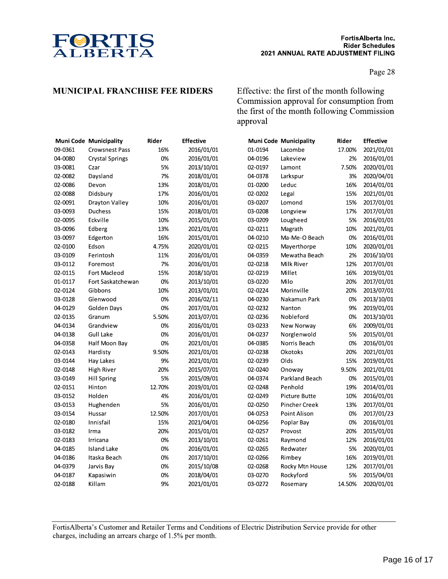

Page 28

## **MUNICIPAL FRANCHISE FEE RIDERS**

Effective: the first of the month following Commission approval for consumption from the first of the month following Commission approval

|         | Muni Code Municipality | Rider  | <b>Effective</b> |         | <b>Muni Code Municipality</b> | Rider  | <b>Effective</b> |
|---------|------------------------|--------|------------------|---------|-------------------------------|--------|------------------|
| 09-0361 | <b>Crowsnest Pass</b>  | 16%    | 2016/01/01       | 01-0194 | Lacombe                       | 17.00% | 2021/01/01       |
| 04-0080 | <b>Crystal Springs</b> | 0%     | 2016/01/01       | 04-0196 | Lakeview                      | 2%     | 2016/01/01       |
| 03-0081 | Czar                   | 5%     | 2013/10/01       | 02-0197 | Lamont                        | 7.50%  | 2020/01/01       |
| 02-0082 | Daysland               | 7%     | 2018/01/01       | 04-0378 | Larkspur                      | 3%     | 2020/04/01       |
| 02-0086 | Devon                  | 13%    | 2018/01/01       | 01-0200 | Leduc                         | 16%    | 2014/01/01       |
| 02-0088 | Didsbury               | 17%    | 2016/01/01       | 02-0202 | Legal                         | 15%    | 2021/01/01       |
| 02-0091 | Drayton Valley         | 10%    | 2016/01/01       | 03-0207 | Lomond                        | 15%    | 2017/01/01       |
| 03-0093 | Duchess                | 15%    | 2018/01/01       | 03-0208 | Longview                      | 17%    | 2017/01/01       |
| 02-0095 | Eckville               | 10%    | 2015/01/01       | 03-0209 | Lougheed                      | 5%     | 2016/01/01       |
| 03-0096 | Edberg                 | 13%    | 2021/01/01       | 02-0211 | Magrath                       | 10%    | 2021/01/01       |
| 03-0097 | Edgerton               | 16%    | 2015/01/01       | 04-0210 | Ma-Me-O Beach                 | 0%     | 2016/01/01       |
| 02-0100 | Edson                  | 4.75%  | 2020/01/01       | 02-0215 | Mayerthorpe                   | 10%    | 2020/01/01       |
| 03-0109 | Ferintosh              | 11%    | 2016/01/01       | 04-0359 | Mewatha Beach                 | 2%     | 2016/10/01       |
| 03-0112 | Foremost               | 7%     | 2016/01/01       | 02-0218 | Milk River                    | 12%    | 2017/01/01       |
| 02-0115 | <b>Fort Macleod</b>    | 15%    | 2018/10/01       | 02-0219 | Millet                        | 16%    | 2019/01/01       |
| 01-0117 | Fort Saskatchewan      | 0%     | 2013/10/01       | 03-0220 | Milo                          | 20%    | 2017/01/01       |
| 02-0124 | Gibbons                | 10%    | 2013/01/01       | 02-0224 | Morinville                    | 20%    | 2013/07/01       |
| 03-0128 | Glenwood               | 0%     | 2016/02/11       | 04-0230 | Nakamun Park                  | 0%     | 2013/10/01       |
| 04-0129 | Golden Days            | 0%     | 2017/01/01       | 02-0232 | Nanton                        | 9%     | 2019/01/01       |
| 02-0135 | Granum                 | 5.50%  | 2013/07/01       | 02-0236 | Nobleford                     | 0%     | 2013/10/01       |
| 04-0134 | Grandview              | 0%     | 2016/01/01       | 03-0233 | New Norway                    | 6%     | 2009/01/01       |
| 04-0138 | <b>Gull Lake</b>       | 0%     | 2016/01/01       | 04-0237 | Norglenwold                   | 5%     | 2015/01/01       |
| 04-0358 | Half Moon Bay          | 0%     | 2021/01/01       | 04-0385 | Norris Beach                  | 0%     | 2016/01/01       |
| 02-0143 | Hardisty               | 9.50%  | 2021/01/01       | 02-0238 | Okotoks                       | 20%    | 2021/01/01       |
| 03-0144 | Hay Lakes              | 9%     | 2021/01/01       | 02-0239 | Olds                          | 15%    | 2019/01/01       |
| 02-0148 | High River             | 20%    | 2015/07/01       | 02-0240 | Onoway                        | 9.50%  | 2021/01/01       |
| 03-0149 | <b>Hill Spring</b>     | 5%     | 2015/09/01       | 04-0374 | Parkland Beach                | 0%     | 2015/01/01       |
| 02-0151 | Hinton                 | 12.70% | 2019/01/01       | 02-0248 | Penhold                       | 19%    | 2014/01/01       |
| 03-0152 | Holden                 | 4%     | 2016/01/01       | 02-0249 | <b>Picture Butte</b>          | 10%    | 2016/01/01       |
| 03-0153 | Hughenden              | 5%     | 2016/01/01       | 02-0250 | Pincher Creek                 | 13%    | 2017/01/01       |
| 03-0154 | Hussar                 | 12.50% | 2017/01/01       | 04-0253 | Point Alison                  | 0%     | 2017/01/23       |
| 02-0180 | Innisfail              | 15%    | 2021/04/01       | 04-0256 | Poplar Bay                    | 0%     | 2016/01/01       |
| 03-0182 | Irma                   | 20%    | 2015/01/01       | 02-0257 | Provost                       | 20%    | 2015/01/01       |
| 02-0183 | Irricana               | 0%     | 2013/10/01       | 02-0261 | Raymond                       | 12%    | 2016/01/01       |
| 04-0185 | <b>Island Lake</b>     | 0%     | 2016/01/01       | 02-0265 | Redwater                      | 5%     | 2020/01/01       |
| 04-0186 | Itaska Beach           | 0%     | 2017/10/01       | 02-0266 | Rimbey                        | 16%    | 2019/01/01       |
| 04-0379 | Jarvis Bay             | 0%     | 2015/10/08       | 02-0268 | Rocky Mtn House               | 12%    | 2017/01/01       |
| 04-0187 | Kapasiwin              | 0%     | 2018/04/01       | 03-0270 | Rockyford                     | 5%     | 2015/04/01       |
| 02-0188 | Killam                 | 9%     | 2021/01/01       | 03-0272 | Rosemary                      | 14.50% | 2020/01/01       |

FortisAlberta's Customer and Retailer Terms and Conditions of Electric Distribution Service provide for other charges, including an arrears charge of 1.5% per month.